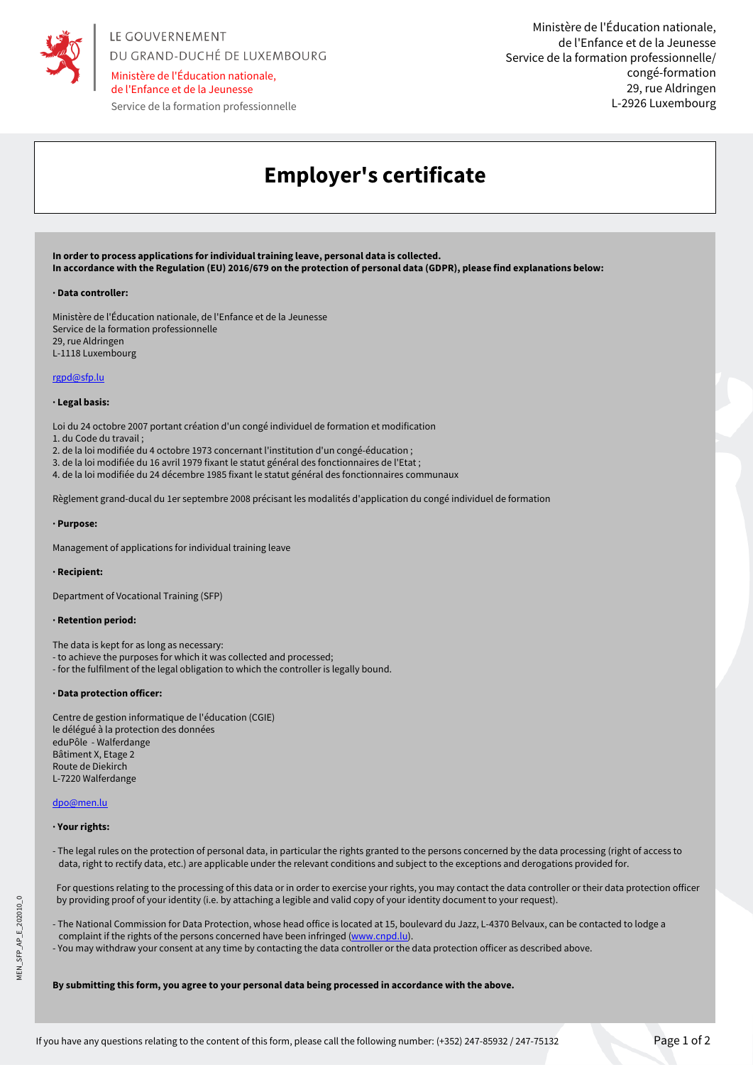

Ministère de l'Éducation nationale, de l'Enfance et de la Jeunesse

Service de la formation professionnelle

Ministère de l'Éducation nationale, de l'Enfance et de la Jeunesse Service de la formation professionnelle/ congé-formation 29, rue Aldringen L-2926 Luxembourg

# **Employer's certificate**

**In order to process applications for individual training leave, personal data is collected. In accordance with the Regulation (EU) 2016/679 on the protection of personal data (GDPR), please find explanations below:** 

#### **· Data controller:**

Ministère de l'Éducation nationale, de l'Enfance et de la Jeunesse Service de la formation professionnelle 29, rue Aldringen L-1118 Luxembourg

#### [rgpd@sfp.lu](mailto:rgpd@sfp.lu)

#### **· Legal basis:**

Loi du 24 octobre 2007 portant création d'un congé individuel de formation et modification

1. du Code du travail ;

2. de la loi modifiée du 4 octobre 1973 concernant l'institution d'un congé-éducation ;

- 3. de la loi modifiée du 16 avril 1979 fixant le statut général des fonctionnaires de l'Etat ;
- 4. de la loi modifiée du 24 décembre 1985 fixant le statut général des fonctionnaires communaux

Règlement grand-ducal du 1er septembre 2008 précisant les modalités d'application du congé individuel de formation

#### **· Purpose:**

Management of applications for individual training leave

**· Recipient:** 

Department of Vocational Training (SFP)

#### **· Retention period:**

The data is kept for as long as necessary:

- to achieve the purposes for which it was collected and processed;
- for the fulfilment of the legal obligation to which the controller is legally bound.

#### **· Data protection officer:**

Centre de gestion informatique de l'éducation (CGIE) le délégué à la protection des données eduPôle - Walferdange Bâtiment X, Etage 2 Route de Diekirch L-7220 Walferdange

#### [dpo@men.lu](mailto:dpo@men.lu)

#### **· Your rights:**

- The legal rules on the protection of personal data, in particular the rights granted to the persons concerned by the data processing (right of access to data, right to rectify data, etc.) are applicable under the relevant conditions and subject to the exceptions and derogations provided for.

 For questions relating to the processing of this data or in order to exercise your rights, you may contact the data controller or their data protection officer by providing proof of your identity (i.e. by attaching a legible and valid copy of your identity document to your request).

- The National Commission for Data Protection, whose head office is located at 15, boulevard du Jazz, L-4370 Belvaux, can be contacted to lodge a complaint if the rights of the persons concerned have been infringed (<www.cnpd.lu>).
- You may withdraw your consent at any time by contacting the data controller or the data protection officer as described above.

**By submitting this form, you agree to your personal data being processed in accordance with the above.**